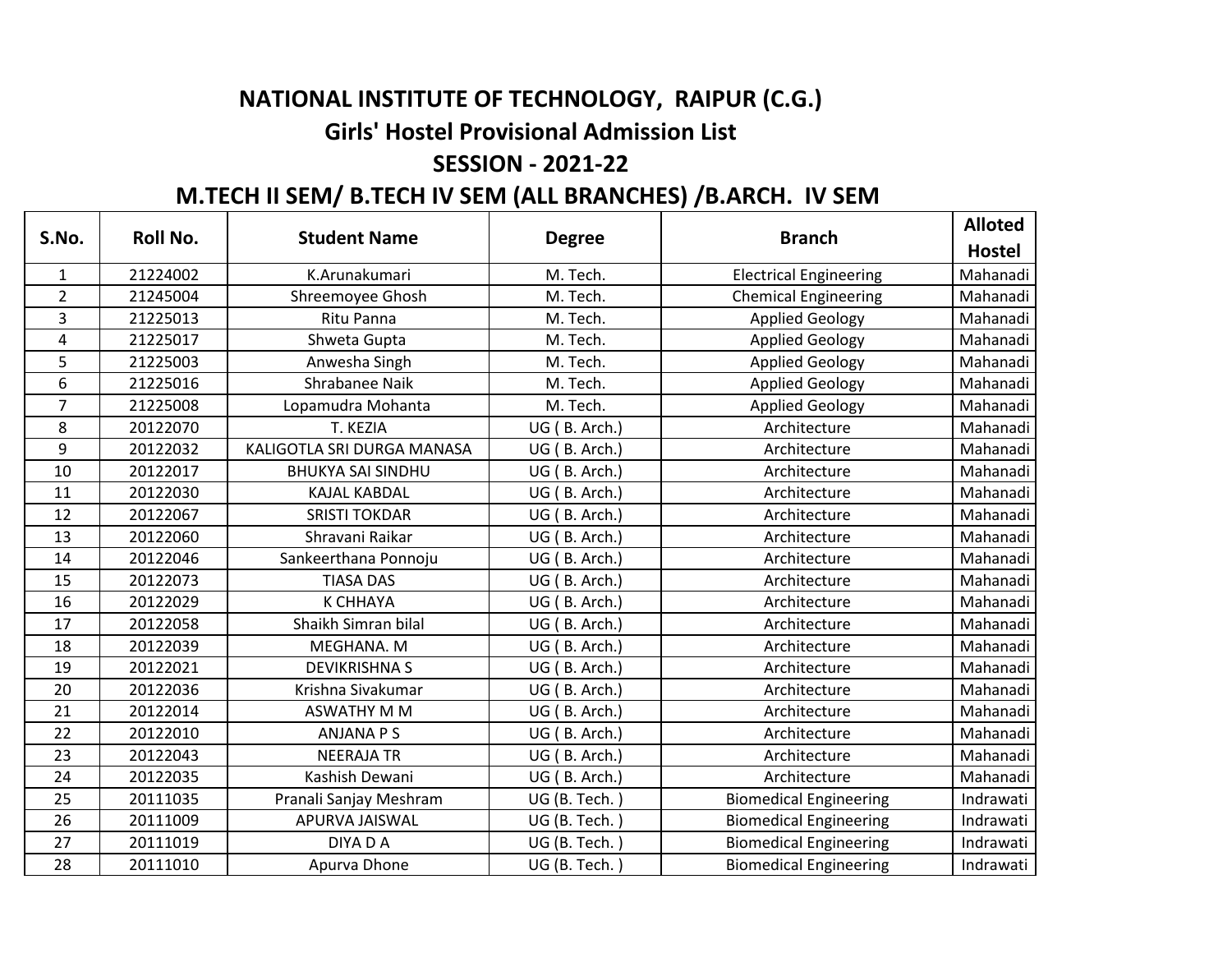## **NATIONAL INSTITUTE OF TECHNOLOGY, RAIPUR (C.G.)**

## **Girls' Hostel Provisional Admission List**

## **SESSION - 2021-22**

## **M.TECH II SEM/ B.TECH IV SEM (ALL BRANCHES) /B.ARCH. IV SEM**

| S.No.          | <b>Roll No.</b> | <b>Student Name</b>        | <b>Degree</b> | <b>Branch</b>                 | <b>Alloted</b> |
|----------------|-----------------|----------------------------|---------------|-------------------------------|----------------|
|                |                 |                            |               |                               | <b>Hostel</b>  |
| $\mathbf{1}$   | 21224002        | K.Arunakumari              | M. Tech.      | <b>Electrical Engineering</b> | Mahanadi       |
| $\overline{2}$ | 21245004        | Shreemoyee Ghosh           | M. Tech.      | <b>Chemical Engineering</b>   | Mahanadi       |
| 3              | 21225013        | Ritu Panna                 | M. Tech.      | <b>Applied Geology</b>        | Mahanadi       |
| 4              | 21225017        | Shweta Gupta               | M. Tech.      | <b>Applied Geology</b>        | Mahanadi       |
| 5              | 21225003        | Anwesha Singh              | M. Tech.      | <b>Applied Geology</b>        | Mahanadi       |
| 6              | 21225016        | Shrabanee Naik             | M. Tech.      | <b>Applied Geology</b>        | Mahanadi       |
| $\overline{7}$ | 21225008        | Lopamudra Mohanta          | M. Tech.      | <b>Applied Geology</b>        | Mahanadi       |
| 8              | 20122070        | T. KEZIA                   | UG (B. Arch.) | Architecture                  | Mahanadi       |
| 9              | 20122032        | KALIGOTLA SRI DURGA MANASA | UG (B. Arch.) | Architecture                  | Mahanadi       |
| 10             | 20122017        | <b>BHUKYA SAI SINDHU</b>   | UG (B. Arch.) | Architecture                  | Mahanadi       |
| 11             | 20122030        | <b>KAJAL KABDAL</b>        | UG (B. Arch.) | Architecture                  | Mahanadi       |
| 12             | 20122067        | <b>SRISTI TOKDAR</b>       | UG (B. Arch.) | Architecture                  | Mahanadi       |
| 13             | 20122060        | Shravani Raikar            | UG (B. Arch.) | Architecture                  | Mahanadi       |
| 14             | 20122046        | Sankeerthana Ponnoju       | UG (B. Arch.) | Architecture                  | Mahanadi       |
| 15             | 20122073        | <b>TIASA DAS</b>           | UG (B. Arch.) | Architecture                  | Mahanadi       |
| 16             | 20122029        | <b>K CHHAYA</b>            | UG (B. Arch.) | Architecture                  | Mahanadi       |
| 17             | 20122058        | Shaikh Simran bilal        | UG (B. Arch.) | Architecture                  | Mahanadi       |
| 18             | 20122039        | MEGHANA. M                 | UG (B. Arch.) | Architecture                  | Mahanadi       |
| 19             | 20122021        | <b>DEVIKRISHNA S</b>       | UG (B. Arch.) | Architecture                  | Mahanadi       |
| 20             | 20122036        | Krishna Sivakumar          | UG (B. Arch.) | Architecture                  | Mahanadi       |
| 21             | 20122014        | <b>ASWATHY M M</b>         | UG (B. Arch.) | Architecture                  | Mahanadi       |
| 22             | 20122010        | <b>ANJANA P S</b>          | UG (B. Arch.) | Architecture                  | Mahanadi       |
| 23             | 20122043        | <b>NEERAJA TR</b>          | UG (B. Arch.) | Architecture                  | Mahanadi       |
| 24             | 20122035        | Kashish Dewani             | UG (B. Arch.) | Architecture                  | Mahanadi       |
| 25             | 20111035        | Pranali Sanjay Meshram     | UG (B. Tech.  | <b>Biomedical Engineering</b> | Indrawati      |
| 26             | 20111009        | APURVA JAISWAL             | UG (B. Tech.) | <b>Biomedical Engineering</b> | Indrawati      |
| 27             | 20111019        | DIYA D A                   | UG (B. Tech.  | <b>Biomedical Engineering</b> | Indrawati      |
| 28             | 20111010        | Apurva Dhone               | UG (B. Tech.) | <b>Biomedical Engineering</b> | Indrawati      |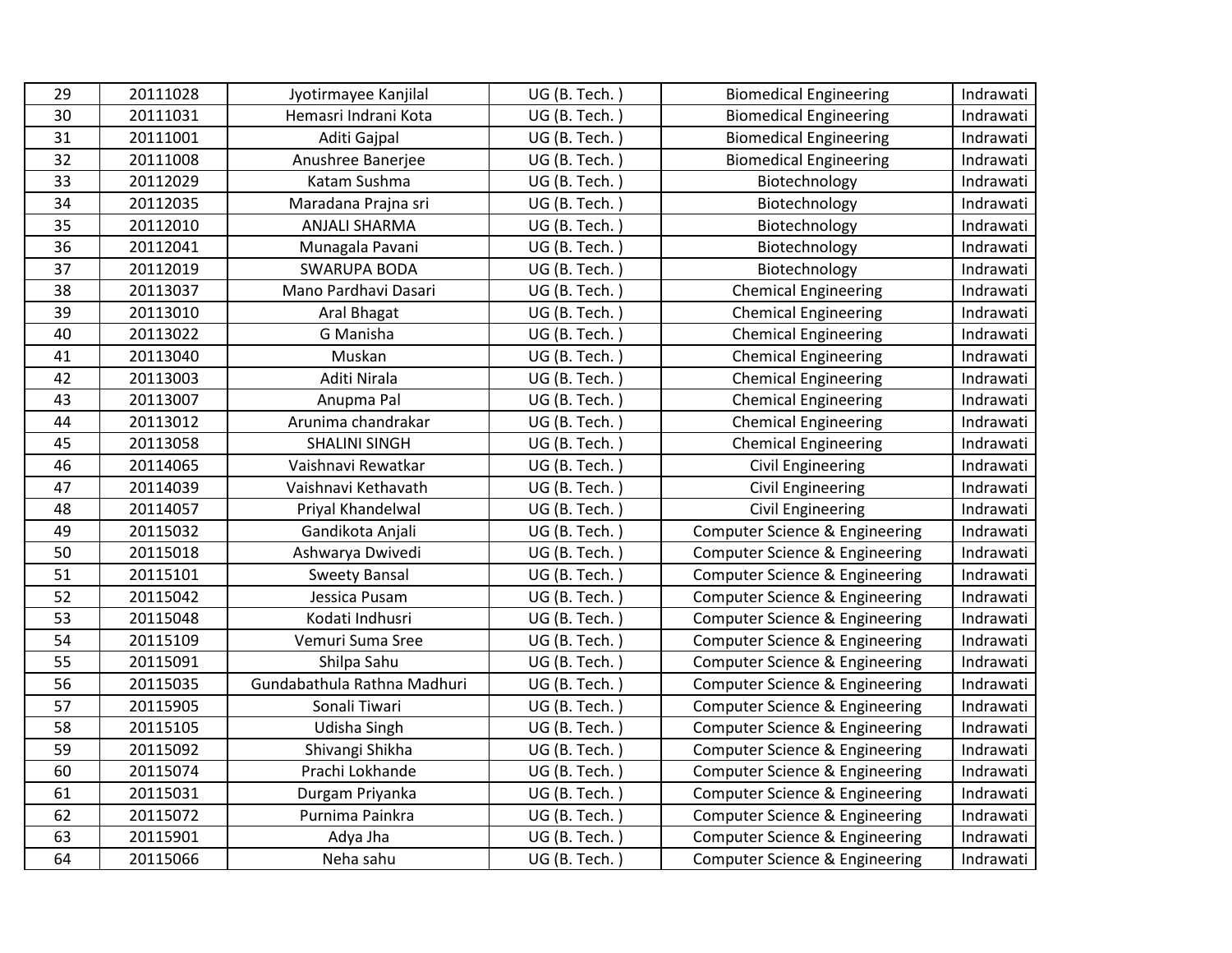| 29 | 20111028 | Jyotirmayee Kanjilal        | UG (B. Tech.) | <b>Biomedical Engineering</b>             | Indrawati |
|----|----------|-----------------------------|---------------|-------------------------------------------|-----------|
| 30 | 20111031 | Hemasri Indrani Kota        | UG (B. Tech.) | <b>Biomedical Engineering</b>             | Indrawati |
| 31 | 20111001 | Aditi Gajpal                | UG (B. Tech.) | <b>Biomedical Engineering</b>             | Indrawati |
| 32 | 20111008 | Anushree Banerjee           | UG (B. Tech.) | <b>Biomedical Engineering</b>             | Indrawati |
| 33 | 20112029 | Katam Sushma                | UG (B. Tech.) | Biotechnology                             | Indrawati |
| 34 | 20112035 | Maradana Prajna sri         | UG (B. Tech.) | Biotechnology                             | Indrawati |
| 35 | 20112010 | <b>ANJALI SHARMA</b>        | UG (B. Tech.) | Biotechnology                             | Indrawati |
| 36 | 20112041 | Munagala Pavani             | UG (B. Tech.) | Biotechnology                             | Indrawati |
| 37 | 20112019 | <b>SWARUPA BODA</b>         | UG (B. Tech.) | Biotechnology                             | Indrawati |
| 38 | 20113037 | Mano Pardhavi Dasari        | UG (B. Tech.) | <b>Chemical Engineering</b>               | Indrawati |
| 39 | 20113010 | Aral Bhagat                 | UG (B. Tech.) | <b>Chemical Engineering</b>               | Indrawati |
| 40 | 20113022 | G Manisha                   | UG (B. Tech.) | <b>Chemical Engineering</b>               | Indrawati |
| 41 | 20113040 | Muskan                      | UG (B. Tech.) | <b>Chemical Engineering</b>               | Indrawati |
| 42 | 20113003 | Aditi Nirala                | UG (B. Tech.) | <b>Chemical Engineering</b>               | Indrawati |
| 43 | 20113007 | Anupma Pal                  | UG (B. Tech.) | <b>Chemical Engineering</b>               | Indrawati |
| 44 | 20113012 | Arunima chandrakar          | UG (B. Tech.) | <b>Chemical Engineering</b>               | Indrawati |
| 45 | 20113058 | <b>SHALINI SINGH</b>        | UG (B. Tech.) | <b>Chemical Engineering</b>               | Indrawati |
| 46 | 20114065 | Vaishnavi Rewatkar          | UG (B. Tech.) | Civil Engineering                         | Indrawati |
| 47 | 20114039 | Vaishnavi Kethavath         | UG (B. Tech.) | <b>Civil Engineering</b>                  | Indrawati |
| 48 | 20114057 | Priyal Khandelwal           | UG (B. Tech.) | <b>Civil Engineering</b>                  | Indrawati |
| 49 | 20115032 | Gandikota Anjali            | UG (B. Tech.) | Computer Science & Engineering            | Indrawati |
| 50 | 20115018 | Ashwarya Dwivedi            | UG (B. Tech.) | Computer Science & Engineering            | Indrawati |
| 51 | 20115101 | <b>Sweety Bansal</b>        | UG (B. Tech.) | Computer Science & Engineering            | Indrawati |
| 52 | 20115042 | Jessica Pusam               | UG (B. Tech.) | Computer Science & Engineering            | Indrawati |
| 53 | 20115048 | Kodati Indhusri             | UG (B. Tech.) | <b>Computer Science &amp; Engineering</b> | Indrawati |
| 54 | 20115109 | Vemuri Suma Sree            | UG (B. Tech.) | <b>Computer Science &amp; Engineering</b> | Indrawati |
| 55 | 20115091 | Shilpa Sahu                 | UG (B. Tech.) | Computer Science & Engineering            | Indrawati |
| 56 | 20115035 | Gundabathula Rathna Madhuri | UG (B. Tech.) | <b>Computer Science &amp; Engineering</b> | Indrawati |
| 57 | 20115905 | Sonali Tiwari               | UG (B. Tech.) | <b>Computer Science &amp; Engineering</b> | Indrawati |
| 58 | 20115105 | Udisha Singh                | UG (B. Tech.) | Computer Science & Engineering            | Indrawati |
| 59 | 20115092 | Shivangi Shikha             | UG (B. Tech.) | <b>Computer Science &amp; Engineering</b> | Indrawati |
| 60 | 20115074 | Prachi Lokhande             | UG (B. Tech.) | Computer Science & Engineering            | Indrawati |
| 61 | 20115031 | Durgam Priyanka             | UG (B. Tech.) | <b>Computer Science &amp; Engineering</b> | Indrawati |
| 62 | 20115072 | Purnima Painkra             | UG (B. Tech.) | <b>Computer Science &amp; Engineering</b> | Indrawati |
| 63 | 20115901 | Adya Jha                    | UG (B. Tech.) | <b>Computer Science &amp; Engineering</b> | Indrawati |
| 64 | 20115066 | Neha sahu                   | UG (B. Tech.) | Computer Science & Engineering            | Indrawati |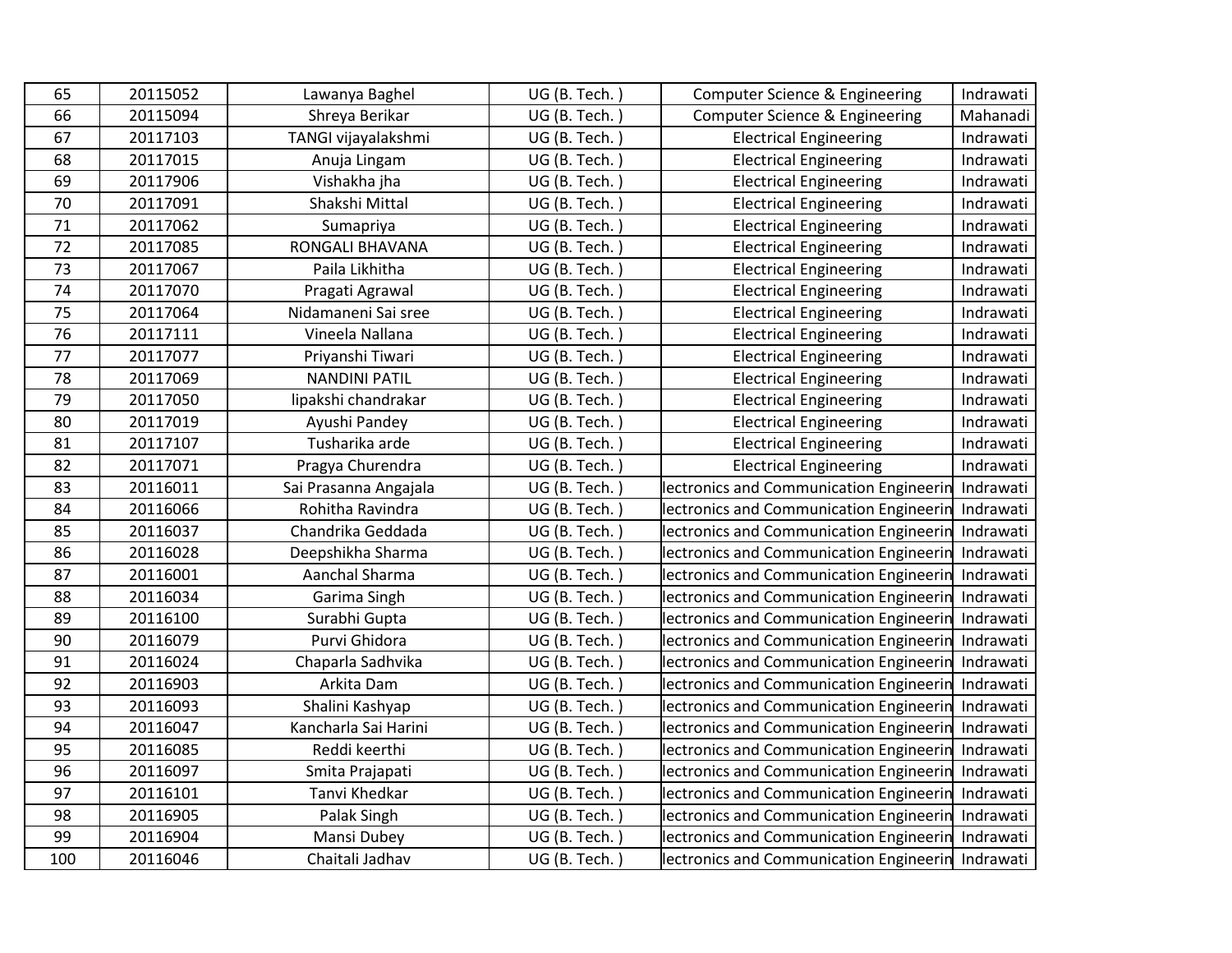| 65  | 20115052 | Lawanya Baghel        | UG (B. Tech.) | Computer Science & Engineering                    | Indrawati |
|-----|----------|-----------------------|---------------|---------------------------------------------------|-----------|
| 66  | 20115094 | Shreya Berikar        | UG (B. Tech.) | Computer Science & Engineering                    | Mahanadi  |
| 67  | 20117103 | TANGI vijayalakshmi   | UG (B. Tech.) | <b>Electrical Engineering</b>                     | Indrawati |
| 68  | 20117015 | Anuja Lingam          | UG (B. Tech.) | <b>Electrical Engineering</b>                     | Indrawati |
| 69  | 20117906 | Vishakha jha          | UG (B. Tech.) | <b>Electrical Engineering</b>                     | Indrawati |
| 70  | 20117091 | Shakshi Mittal        | UG (B. Tech.) | <b>Electrical Engineering</b>                     | Indrawati |
| 71  | 20117062 | Sumapriya             | UG (B. Tech.) | <b>Electrical Engineering</b>                     | Indrawati |
| 72  | 20117085 | RONGALI BHAVANA       | UG (B. Tech.) | <b>Electrical Engineering</b>                     | Indrawati |
| 73  | 20117067 | Paila Likhitha        | UG (B. Tech.) | <b>Electrical Engineering</b>                     | Indrawati |
| 74  | 20117070 | Pragati Agrawal       | UG (B. Tech.) | <b>Electrical Engineering</b>                     | Indrawati |
| 75  | 20117064 | Nidamaneni Sai sree   | UG (B. Tech.) | <b>Electrical Engineering</b>                     | Indrawati |
| 76  | 20117111 | Vineela Nallana       | UG (B. Tech.) | <b>Electrical Engineering</b>                     | Indrawati |
| 77  | 20117077 | Priyanshi Tiwari      | UG (B. Tech.) | <b>Electrical Engineering</b>                     | Indrawati |
| 78  | 20117069 | <b>NANDINI PATIL</b>  | UG (B. Tech.) | <b>Electrical Engineering</b>                     | Indrawati |
| 79  | 20117050 | lipakshi chandrakar   | UG (B. Tech.) | <b>Electrical Engineering</b>                     | Indrawati |
| 80  | 20117019 | Ayushi Pandey         | UG (B. Tech.) | <b>Electrical Engineering</b>                     | Indrawati |
| 81  | 20117107 | Tusharika arde        | UG (B. Tech.) | <b>Electrical Engineering</b>                     | Indrawati |
| 82  | 20117071 | Pragya Churendra      | UG (B. Tech.) | <b>Electrical Engineering</b>                     | Indrawati |
| 83  | 20116011 | Sai Prasanna Angajala | UG (B. Tech.) | lectronics and Communication Engineerin           | Indrawati |
| 84  | 20116066 | Rohitha Ravindra      | UG (B. Tech.) | lectronics and Communication Engineerin           | Indrawati |
| 85  | 20116037 | Chandrika Geddada     | UG (B. Tech.  | lectronics and Communication Engineerin           | Indrawati |
| 86  | 20116028 | Deepshikha Sharma     | UG (B. Tech.) | lectronics and Communication Engineerin           | Indrawati |
| 87  | 20116001 | Aanchal Sharma        | UG (B. Tech.) | lectronics and Communication Engineerin           | Indrawati |
| 88  | 20116034 | Garima Singh          | UG (B. Tech.) | lectronics and Communication Engineerin           | Indrawati |
| 89  | 20116100 | Surabhi Gupta         | UG (B. Tech.) | lectronics and Communication Engineerin           | Indrawati |
| 90  | 20116079 | Purvi Ghidora         | UG (B. Tech.) | lectronics and Communication Engineerin           | Indrawati |
| 91  | 20116024 | Chaparla Sadhvika     | UG (B. Tech.) | lectronics and Communication Engineerin           | Indrawati |
| 92  | 20116903 | Arkita Dam            | UG (B. Tech.) | lectronics and Communication Engineerin           | Indrawati |
| 93  | 20116093 | Shalini Kashyap       | UG (B. Tech.) | lectronics and Communication Engineerin           | Indrawati |
| 94  | 20116047 | Kancharla Sai Harini  | UG (B. Tech.) | lectronics and Communication Engineerin           | Indrawati |
| 95  | 20116085 | Reddi keerthi         | UG (B. Tech.) | lectronics and Communication Engineerin           | Indrawati |
| 96  | 20116097 | Smita Prajapati       | UG (B. Tech.) | lectronics and Communication Engineerin           | Indrawati |
| 97  | 20116101 | Tanvi Khedkar         | UG (B. Tech.  | lectronics and Communication Engineerin           | Indrawati |
| 98  | 20116905 | Palak Singh           | UG (B. Tech.) | lectronics and Communication Engineerin           | Indrawati |
| 99  | 20116904 | Mansi Dubey           | UG (B. Tech.) | lectronics and Communication Engineerin           | Indrawati |
| 100 | 20116046 | Chaitali Jadhav       | UG (B. Tech.) | lectronics and Communication Engineerin Indrawati |           |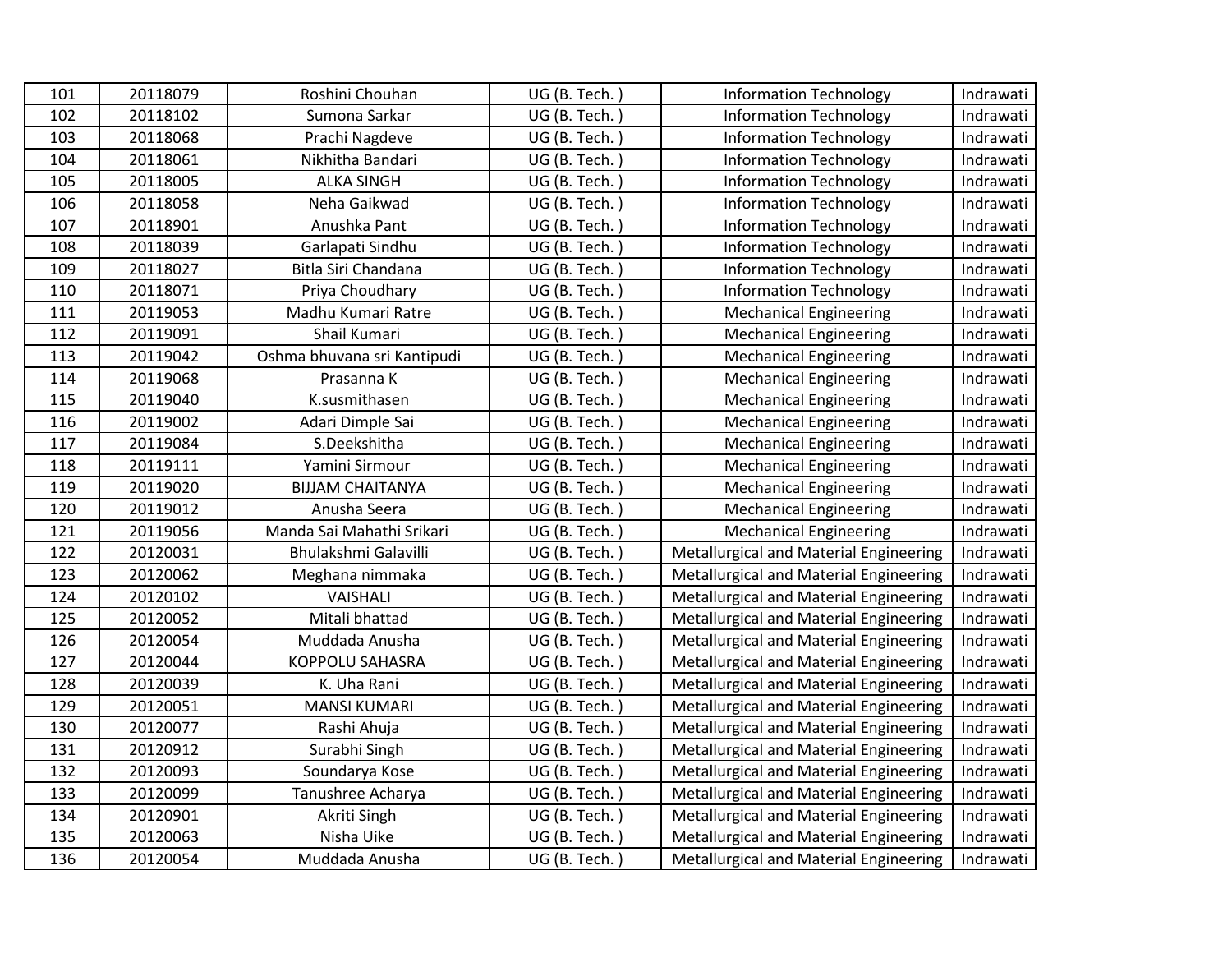| 101 | 20118079 | Roshini Chouhan             | UG (B. Tech.) | <b>Information Technology</b>                 | Indrawati |
|-----|----------|-----------------------------|---------------|-----------------------------------------------|-----------|
| 102 | 20118102 | Sumona Sarkar               | UG (B. Tech.) | <b>Information Technology</b>                 | Indrawati |
| 103 | 20118068 | Prachi Nagdeve              | UG (B. Tech.) | <b>Information Technology</b>                 | Indrawati |
| 104 | 20118061 | Nikhitha Bandari            | UG (B. Tech.) | <b>Information Technology</b>                 | Indrawati |
| 105 | 20118005 | <b>ALKA SINGH</b>           | UG (B. Tech.) | <b>Information Technology</b>                 | Indrawati |
| 106 | 20118058 | Neha Gaikwad                | UG (B. Tech.) | <b>Information Technology</b>                 | Indrawati |
| 107 | 20118901 | Anushka Pant                | UG (B. Tech.  | <b>Information Technology</b>                 | Indrawati |
| 108 | 20118039 | Garlapati Sindhu            | UG (B. Tech.) | <b>Information Technology</b>                 | Indrawati |
| 109 | 20118027 | Bitla Siri Chandana         | UG (B. Tech.) | <b>Information Technology</b>                 | Indrawati |
| 110 | 20118071 | Priya Choudhary             | UG (B. Tech.) | <b>Information Technology</b>                 | Indrawati |
| 111 | 20119053 | Madhu Kumari Ratre          | UG (B. Tech.) | <b>Mechanical Engineering</b>                 | Indrawati |
| 112 | 20119091 | Shail Kumari                | UG (B. Tech.  | <b>Mechanical Engineering</b>                 | Indrawati |
| 113 | 20119042 | Oshma bhuvana sri Kantipudi | UG (B. Tech.) | <b>Mechanical Engineering</b>                 | Indrawati |
| 114 | 20119068 | Prasanna K                  | UG (B. Tech.) | <b>Mechanical Engineering</b>                 | Indrawati |
| 115 | 20119040 | K.susmithasen               | UG (B. Tech.) | <b>Mechanical Engineering</b>                 | Indrawati |
| 116 | 20119002 | Adari Dimple Sai            | UG (B. Tech.) | <b>Mechanical Engineering</b>                 | Indrawati |
| 117 | 20119084 | S.Deekshitha                | UG (B. Tech.) | <b>Mechanical Engineering</b>                 | Indrawati |
| 118 | 20119111 | Yamini Sirmour              | UG (B. Tech.) | <b>Mechanical Engineering</b>                 | Indrawati |
| 119 | 20119020 | <b>BIJJAM CHAITANYA</b>     | UG (B. Tech.  | <b>Mechanical Engineering</b>                 | Indrawati |
| 120 | 20119012 | Anusha Seera                | UG (B. Tech.) | <b>Mechanical Engineering</b>                 | Indrawati |
| 121 | 20119056 | Manda Sai Mahathi Srikari   | UG (B. Tech.) | <b>Mechanical Engineering</b>                 | Indrawati |
| 122 | 20120031 | Bhulakshmi Galavilli        | UG (B. Tech.) | <b>Metallurgical and Material Engineering</b> | Indrawati |
| 123 | 20120062 | Meghana nimmaka             | UG (B. Tech.) | Metallurgical and Material Engineering        | Indrawati |
| 124 | 20120102 | VAISHALI                    | UG (B. Tech.) | Metallurgical and Material Engineering        | Indrawati |
| 125 | 20120052 | Mitali bhattad              | UG (B. Tech.) | Metallurgical and Material Engineering        | Indrawati |
| 126 | 20120054 | Muddada Anusha              | UG (B. Tech.) | Metallurgical and Material Engineering        | Indrawati |
| 127 | 20120044 | <b>KOPPOLU SAHASRA</b>      | UG (B. Tech.) | Metallurgical and Material Engineering        | Indrawati |
| 128 | 20120039 | K. Uha Rani                 | UG (B. Tech.) | Metallurgical and Material Engineering        | Indrawati |
| 129 | 20120051 | <b>MANSI KUMARI</b>         | UG (B. Tech.) | Metallurgical and Material Engineering        | Indrawati |
| 130 | 20120077 | Rashi Ahuja                 | UG (B. Tech.  | Metallurgical and Material Engineering        | Indrawati |
| 131 | 20120912 | Surabhi Singh               | UG (B. Tech.) | Metallurgical and Material Engineering        | Indrawati |
| 132 | 20120093 | Soundarya Kose              | UG (B. Tech.  | Metallurgical and Material Engineering        | Indrawati |
| 133 | 20120099 | Tanushree Acharya           | UG (B. Tech.) | <b>Metallurgical and Material Engineering</b> | Indrawati |
| 134 | 20120901 | Akriti Singh                | UG (B. Tech.) | Metallurgical and Material Engineering        | Indrawati |
| 135 | 20120063 | Nisha Uike                  | UG (B. Tech.) | Metallurgical and Material Engineering        | Indrawati |
| 136 | 20120054 | Muddada Anusha              | UG (B. Tech.) | Metallurgical and Material Engineering        | Indrawati |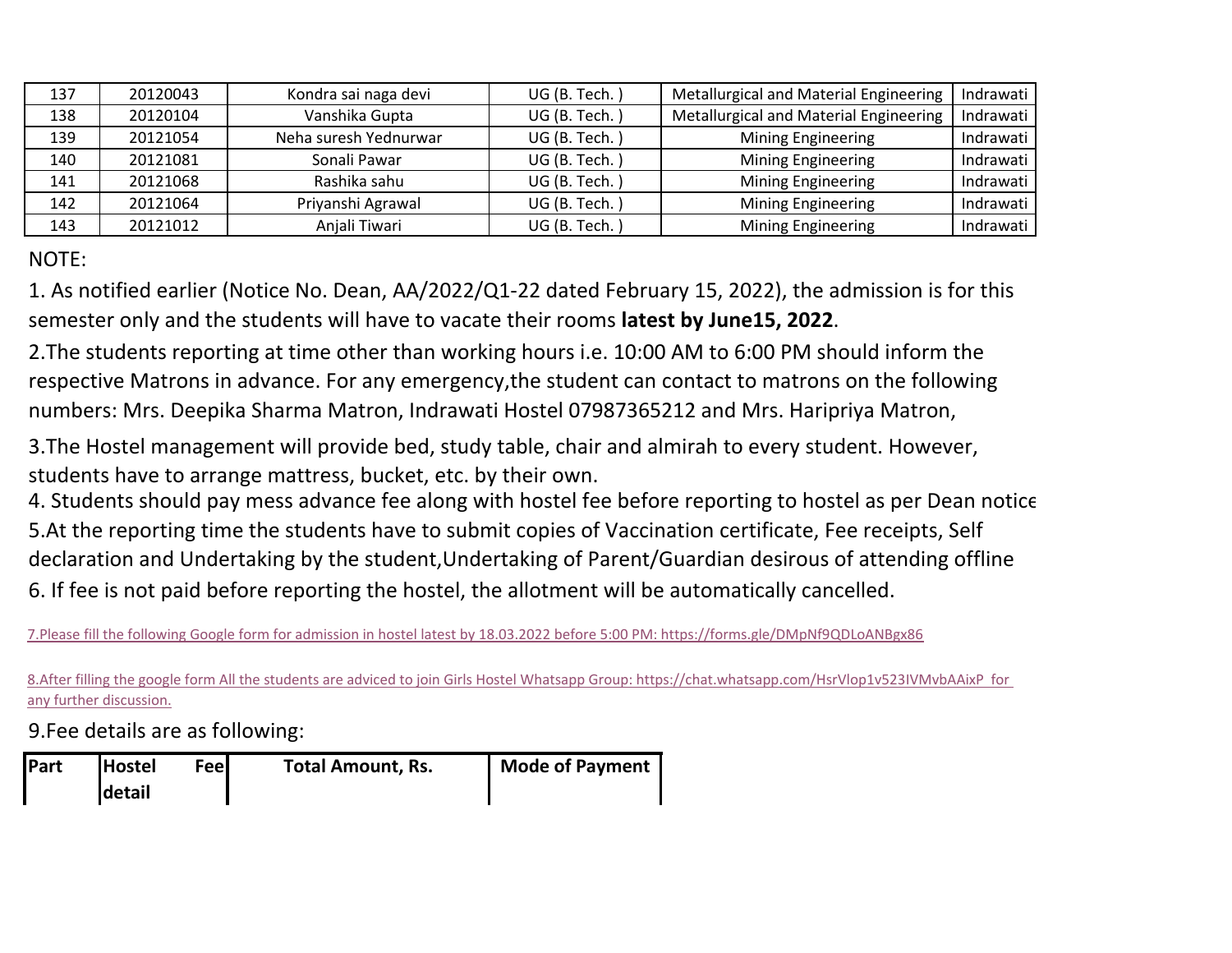| 137 | 20120043 | Kondra sai naga devi  | UG (B. Tech.) | Metallurgical and Material Engineering | Indrawati |
|-----|----------|-----------------------|---------------|----------------------------------------|-----------|
| 138 | 20120104 | Vanshika Gupta        | UG (B. Tech.) | Metallurgical and Material Engineering | Indrawati |
| 139 | 20121054 | Neha suresh Yednurwar | UG (B. Tech.) | Mining Engineering                     | Indrawati |
| 140 | 20121081 | Sonali Pawar          | UG (B. Tech.) | Mining Engineering                     | Indrawati |
| 141 | 20121068 | Rashika sahu          | UG (B. Tech.) | <b>Mining Engineering</b>              | Indrawati |
| 142 | 20121064 | Priyanshi Agrawal     | UG (B. Tech.) | Mining Engineering                     | Indrawati |
| 143 | 20121012 | Anjali Tiwari         | UG (B. Tech.) | Mining Engineering                     | Indrawati |

NOTE:

1. As notified earlier (Notice No. Dean, AA/2022/Q1-22 dated February 15, 2022), the admission is for this semester only and the students will have to vacate their rooms **latest by June15, 2022**.

2.The students reporting at time other than working hours i.e. 10:00 AM to 6:00 PM should inform the respective Matrons in advance. For any emergency,the student can contact to matrons on the following numbers: Mrs. Deepika Sharma Matron, Indrawati Hostel 07987365212 and Mrs. Haripriya Matron,

3. The Hostel management will provide bed, study table, chair and almirah to every student. However, students have to arrange mattress, bucket, etc. by their own.

4. Students should pay mess advance fee along with hostel fee before reporting to hostel as per Dean notice. 5.At the reporting time the students have to submit copies of Vaccination certificate, Fee receipts, Self declaration and Undertaking by the student,Undertaking of Parent/Guardian desirous of attending offline 6. If fee is not paid before reporting the hostel, the allotment will be automatically cancelled.

[7.Please fill](https://forms.gle/DMpNf9QDLoANBgx86) the following Google form for admission in hostel latest by 18.03.2022 before 5:00 PM: https://forms.gle/DMpNf9QDLoANBgx86

[8.After fillin](https://chat.whatsapp.com/HsrVlop1v523IVMvbAAixP)g the google form All the students are adviced to join Girls Hostel Whatsapp Group: https://chat.whatsapp.com/HsrVlop1v523IVMvbAAixP for [any further](https://chat.whatsapp.com/HsrVlop1v523IVMvbAAixP) discussion.

9.Fee details are as following:

| Part | <b>Hostel</b> | Feel | <b>Total Amount, Rs.</b> | <b>Mode of Payment</b> |
|------|---------------|------|--------------------------|------------------------|
|      | detail        |      |                          |                        |